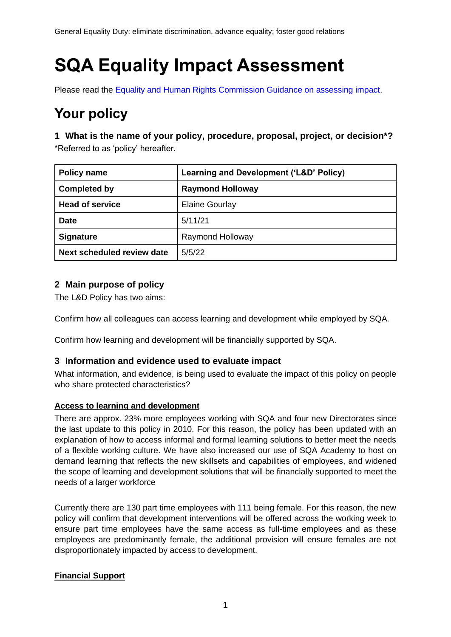# **SQA Equality Impact Assessment**

Please read the [Equality and Human Rights Commission Guidance on assessing impact.](https://www.equalityhumanrights.com/sites/default/files/assessing-impact-public-sectory-equality-duty-scotland.pdf)

# **Your policy**

**1 What is the name of your policy, procedure, proposal, project, or decision\*?** \*Referred to as 'policy' hereafter.

| <b>Policy name</b>         | Learning and Development ('L&D' Policy) |  |
|----------------------------|-----------------------------------------|--|
| <b>Completed by</b>        | <b>Raymond Holloway</b>                 |  |
| <b>Head of service</b>     | <b>Elaine Gourlay</b>                   |  |
| <b>Date</b>                | 5/11/21                                 |  |
| <b>Signature</b>           | Raymond Holloway                        |  |
| Next scheduled review date | 5/5/22                                  |  |

### **2 Main purpose of policy**

The L&D Policy has two aims:

Confirm how all colleagues can access learning and development while employed by SQA.

Confirm how learning and development will be financially supported by SQA.

#### **3 Information and evidence used to evaluate impact**

What information, and evidence, is being used to evaluate the impact of this policy on people who share protected characteristics?

#### **Access to learning and development**

There are approx. 23% more employees working with SQA and four new Directorates since the last update to this policy in 2010. For this reason, the policy has been updated with an explanation of how to access informal and formal learning solutions to better meet the needs of a flexible working culture. We have also increased our use of SQA Academy to host on demand learning that reflects the new skillsets and capabilities of employees, and widened the scope of learning and development solutions that will be financially supported to meet the needs of a larger workforce

Currently there are 130 part time employees with 111 being female. For this reason, the new policy will confirm that development interventions will be offered across the working week to ensure part time employees have the same access as full-time employees and as these employees are predominantly female, the additional provision will ensure females are not disproportionately impacted by access to development.

#### **Financial Support**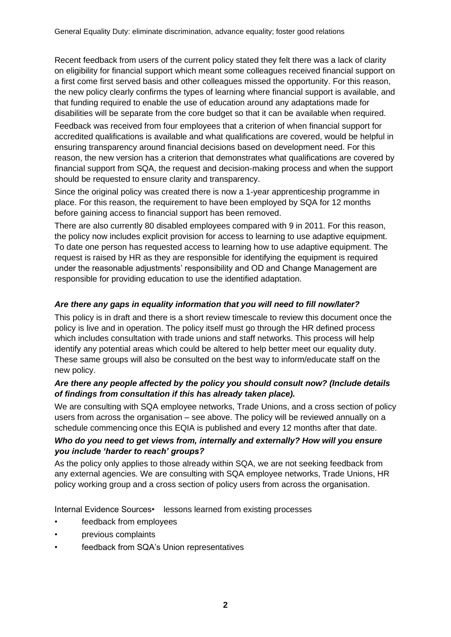Recent feedback from users of the current policy stated they felt there was a lack of clarity on eligibility for financial support which meant some colleagues received financial support on a first come first served basis and other colleagues missed the opportunity. For this reason, the new policy clearly confirms the types of learning where financial support is available, and that funding required to enable the use of education around any adaptations made for disabilities will be separate from the core budget so that it can be available when required.

Feedback was received from four employees that a criterion of when financial support for accredited qualifications is available and what qualifications are covered, would be helpful in ensuring transparency around financial decisions based on development need. For this reason, the new version has a criterion that demonstrates what qualifications are covered by financial support from SQA, the request and decision-making process and when the support should be requested to ensure clarity and transparency.

Since the original policy was created there is now a 1-year apprenticeship programme in place. For this reason, the requirement to have been employed by SQA for 12 months before gaining access to financial support has been removed.

There are also currently 80 disabled employees compared with 9 in 2011. For this reason, the policy now includes explicit provision for access to learning to use adaptive equipment. To date one person has requested access to learning how to use adaptive equipment. The request is raised by HR as they are responsible for identifying the equipment is required under the reasonable adjustments' responsibility and OD and Change Management are responsible for providing education to use the identified adaptation.

#### *Are there any gaps in equality information that you will need to fill now/later?*

This policy is in draft and there is a short review timescale to review this document once the policy is live and in operation. The policy itself must go through the HR defined process which includes consultation with trade unions and staff networks. This process will help identify any potential areas which could be altered to help better meet our equality duty. These same groups will also be consulted on the best way to inform/educate staff on the new policy.

#### *Are there any people affected by the policy you should consult now? (Include details of findings from consultation if this has already taken place).*

We are consulting with SQA employee networks, Trade Unions, and a cross section of policy users from across the organisation – see above. The policy will be reviewed annually on a schedule commencing once this EQIA is published and every 12 months after that date.

#### *Who do you need to get views from, internally and externally? How will you ensure you include 'harder to reach' groups?*

As the policy only applies to those already within SQA, we are not seeking feedback from any external agencies. We are consulting with SQA employee networks, Trade Unions, HR policy working group and a cross section of policy users from across the organisation.

Internal Evidence Sources • lessons learned from existing processes

- feedback from employees
- previous complaints
- feedback from SQA's Union representatives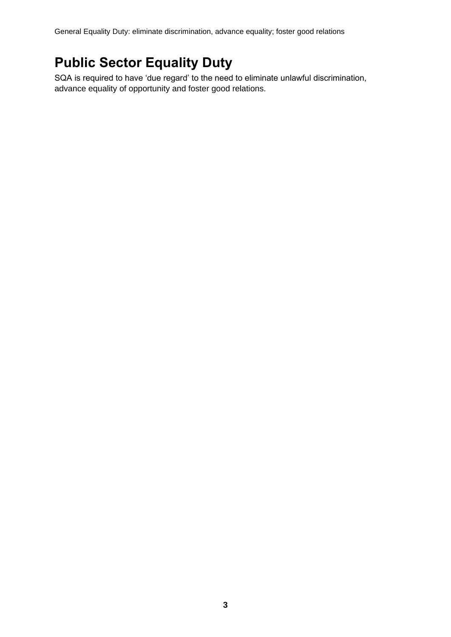General Equality Duty: eliminate discrimination, advance equality; foster good relations

# **Public Sector Equality Duty**

SQA is required to have 'due regard' to the need to eliminate unlawful discrimination, advance equality of opportunity and foster good relations.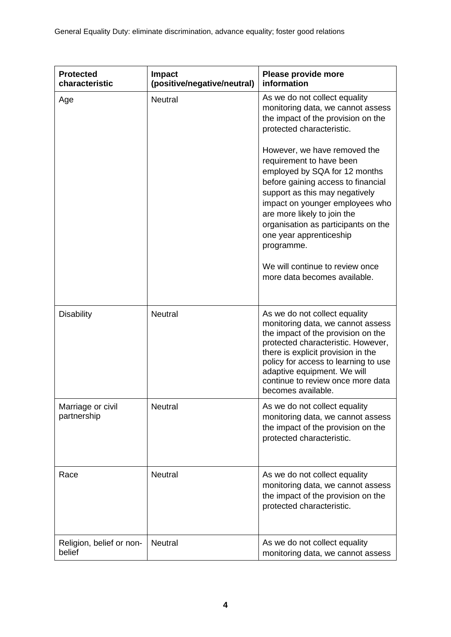| <b>Protected</b><br>characteristic | Please provide more<br><b>Impact</b><br>(positive/negative/neutral)<br>information |                                                                                                                                                                                                                                                                                                                                                                                        |  |
|------------------------------------|------------------------------------------------------------------------------------|----------------------------------------------------------------------------------------------------------------------------------------------------------------------------------------------------------------------------------------------------------------------------------------------------------------------------------------------------------------------------------------|--|
| Age                                | <b>Neutral</b>                                                                     | As we do not collect equality<br>monitoring data, we cannot assess<br>the impact of the provision on the<br>protected characteristic.                                                                                                                                                                                                                                                  |  |
|                                    |                                                                                    | However, we have removed the<br>requirement to have been<br>employed by SQA for 12 months<br>before gaining access to financial<br>support as this may negatively<br>impact on younger employees who<br>are more likely to join the<br>organisation as participants on the<br>one year apprenticeship<br>programme.<br>We will continue to review once<br>more data becomes available. |  |
| <b>Disability</b>                  | <b>Neutral</b>                                                                     | As we do not collect equality                                                                                                                                                                                                                                                                                                                                                          |  |
|                                    |                                                                                    | monitoring data, we cannot assess<br>the impact of the provision on the<br>protected characteristic. However,<br>there is explicit provision in the<br>policy for access to learning to use<br>adaptive equipment. We will<br>continue to review once more data<br>becomes available.                                                                                                  |  |
| Marriage or civil<br>partnership   | <b>Neutral</b>                                                                     | As we do not collect equality<br>monitoring data, we cannot assess<br>the impact of the provision on the<br>protected characteristic.                                                                                                                                                                                                                                                  |  |
| Race                               | Neutral                                                                            | As we do not collect equality<br>monitoring data, we cannot assess<br>the impact of the provision on the<br>protected characteristic.                                                                                                                                                                                                                                                  |  |
| Religion, belief or non-<br>belief | <b>Neutral</b>                                                                     | As we do not collect equality<br>monitoring data, we cannot assess                                                                                                                                                                                                                                                                                                                     |  |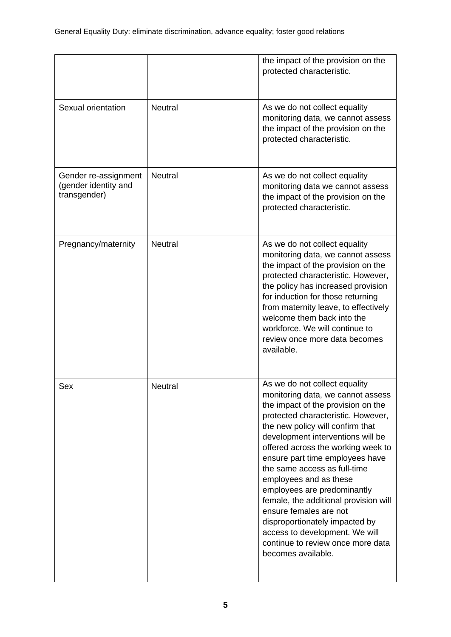|                                                              |                | the impact of the provision on the<br>protected characteristic.                                                                                                                                                                                                                                                                                                                                                                                                                                                                                                                             |  |
|--------------------------------------------------------------|----------------|---------------------------------------------------------------------------------------------------------------------------------------------------------------------------------------------------------------------------------------------------------------------------------------------------------------------------------------------------------------------------------------------------------------------------------------------------------------------------------------------------------------------------------------------------------------------------------------------|--|
| Sexual orientation                                           | <b>Neutral</b> | As we do not collect equality<br>monitoring data, we cannot assess<br>the impact of the provision on the<br>protected characteristic.                                                                                                                                                                                                                                                                                                                                                                                                                                                       |  |
| Gender re-assignment<br>(gender identity and<br>transgender) | <b>Neutral</b> | As we do not collect equality<br>monitoring data we cannot assess<br>the impact of the provision on the<br>protected characteristic.                                                                                                                                                                                                                                                                                                                                                                                                                                                        |  |
| Pregnancy/maternity                                          | <b>Neutral</b> | As we do not collect equality<br>monitoring data, we cannot assess<br>the impact of the provision on the<br>protected characteristic. However,<br>the policy has increased provision<br>for induction for those returning<br>from maternity leave, to effectively<br>welcome them back into the<br>workforce. We will continue to<br>review once more data becomes<br>available.                                                                                                                                                                                                            |  |
| Sex                                                          | Neutral        | As we do not collect equality<br>monitoring data, we cannot assess<br>the impact of the provision on the<br>protected characteristic. However,<br>the new policy will confirm that<br>development interventions will be<br>offered across the working week to<br>ensure part time employees have<br>the same access as full-time<br>employees and as these<br>employees are predominantly<br>female, the additional provision will<br>ensure females are not<br>disproportionately impacted by<br>access to development. We will<br>continue to review once more data<br>becomes available. |  |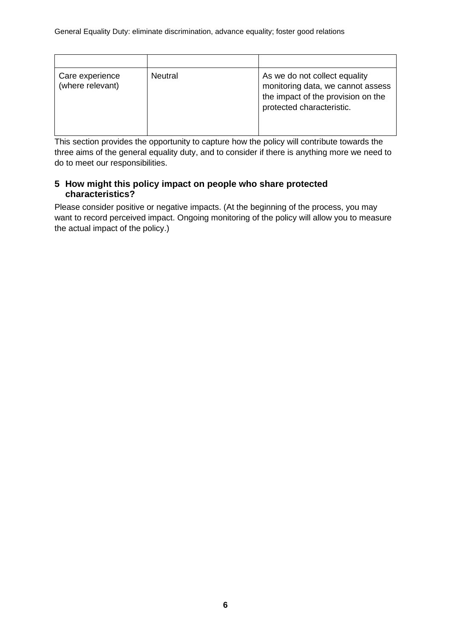| Care experience<br>(where relevant) | <b>Neutral</b> | As we do not collect equality<br>monitoring data, we cannot assess<br>the impact of the provision on the<br>protected characteristic. |
|-------------------------------------|----------------|---------------------------------------------------------------------------------------------------------------------------------------|

This section provides the opportunity to capture how the policy will contribute towards the three aims of the general equality duty, and to consider if there is anything more we need to do to meet our responsibilities.

### **5 How might this policy impact on people who share protected characteristics?**

Please consider positive or negative impacts. (At the beginning of the process, you may want to record perceived impact. Ongoing monitoring of the policy will allow you to measure the actual impact of the policy.)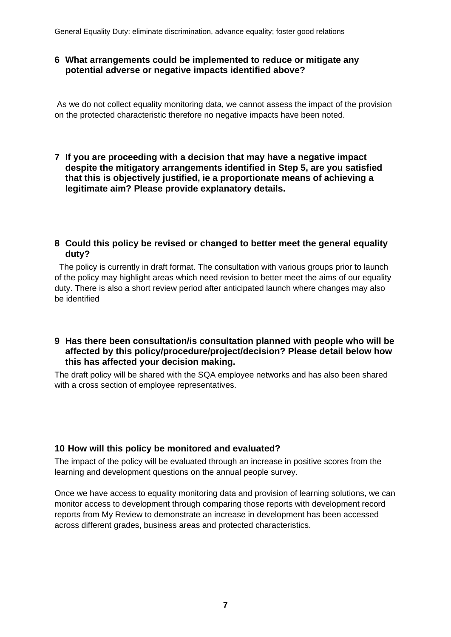General Equality Duty: eliminate discrimination, advance equality; foster good relations

#### **6 What arrangements could be implemented to reduce or mitigate any potential adverse or negative impacts identified above?**

As we do not collect equality monitoring data, we cannot assess the impact of the provision on the protected characteristic therefore no negative impacts have been noted.

**7 If you are proceeding with a decision that may have a negative impact despite the mitigatory arrangements identified in Step 5, are you satisfied that this is objectively justified, ie a proportionate means of achieving a legitimate aim? Please provide explanatory details.**

#### **8 Could this policy be revised or changed to better meet the general equality duty?**

 The policy is currently in draft format. The consultation with various groups prior to launch of the policy may highlight areas which need revision to better meet the aims of our equality duty. There is also a short review period after anticipated launch where changes may also be identified

#### **9 Has there been consultation/is consultation planned with people who will be affected by this policy/procedure/project/decision? Please detail below how this has affected your decision making.**

The draft policy will be shared with the SQA employee networks and has also been shared with a cross section of employee representatives.

#### **10 How will this policy be monitored and evaluated?**

The impact of the policy will be evaluated through an increase in positive scores from the learning and development questions on the annual people survey.

Once we have access to equality monitoring data and provision of learning solutions, we can monitor access to development through comparing those reports with development record reports from My Review to demonstrate an increase in development has been accessed across different grades, business areas and protected characteristics.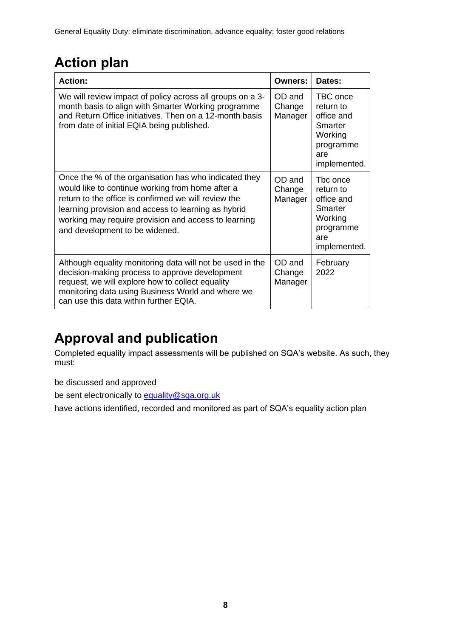# **Action plan**

| <b>Action:</b>                                                                                                                                                                                                                                                                                                     | <b>Owners:</b>              | Dates:                                                                                        |
|--------------------------------------------------------------------------------------------------------------------------------------------------------------------------------------------------------------------------------------------------------------------------------------------------------------------|-----------------------------|-----------------------------------------------------------------------------------------------|
| We will review impact of policy across all groups on a 3-<br>month basis to align with Smarter Working programme<br>and Return Office initiatives. Then on a 12-month basis<br>from date of initial EQIA being published.                                                                                          | OD and<br>Change<br>Manager | TBC once<br>return to<br>office and<br>Smarter<br>Working<br>programme<br>are<br>implemented. |
| Once the % of the organisation has who indicated they<br>would like to continue working from home after a<br>return to the office is confirmed we will review the<br>learning provision and access to learning as hybrid<br>working may require provision and access to learning<br>and development to be widened. | OD and<br>Change<br>Manager | The once<br>return to<br>office and<br>Smarter<br>Working<br>programme<br>are<br>implemented. |
| Although equality monitoring data will not be used in the<br>decision-making process to approve development<br>request, we will explore how to collect equality<br>monitoring data using Business World and where we<br>can use this data within further EQIA.                                                     | OD and<br>Change<br>Manager | February<br>2022                                                                              |

# **Approval and publication**

Completed equality impact assessments will be published on SQA's website. As such, they must:

be discussed and approved

be sent electronically to [equality@sqa.org.uk](mailto:equality@sqa.org.uk)

have actions identified, recorded and monitored as part of SQA's equality action plan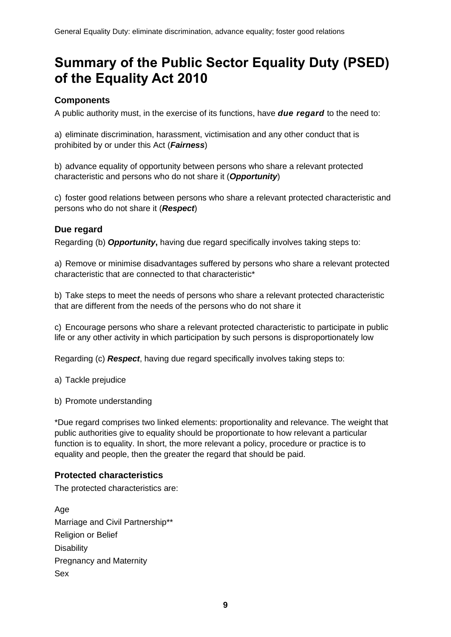### **Summary of the Public Sector Equality Duty (PSED) of the Equality Act 2010**

### **Components**

A public authority must, in the exercise of its functions, have *due regard* to the need to:

a) eliminate discrimination, harassment, victimisation and any other conduct that is prohibited by or under this Act (*Fairness*)

b) advance equality of opportunity between persons who share a relevant protected characteristic and persons who do not share it (*Opportunity*)

c) foster good relations between persons who share a relevant protected characteristic and persons who do not share it (*Respect*)

### **Due regard**

Regarding (b) *Opportunity***,** having due regard specifically involves taking steps to:

a) Remove or minimise disadvantages suffered by persons who share a relevant protected characteristic that are connected to that characteristic\*

b) Take steps to meet the needs of persons who share a relevant protected characteristic that are different from the needs of the persons who do not share it

c) Encourage persons who share a relevant protected characteristic to participate in public life or any other activity in which participation by such persons is disproportionately low

Regarding (c) *Respect*, having due regard specifically involves taking steps to:

a) Tackle prejudice

b) Promote understanding

\*Due regard comprises two linked elements: proportionality and relevance. The weight that public authorities give to equality should be proportionate to how relevant a particular function is to equality. In short, the more relevant a policy, procedure or practice is to equality and people, then the greater the regard that should be paid.

#### **Protected characteristics**

The protected characteristics are:

Age Marriage and Civil Partnership\*\* Religion or Belief **Disability** Pregnancy and Maternity Sex